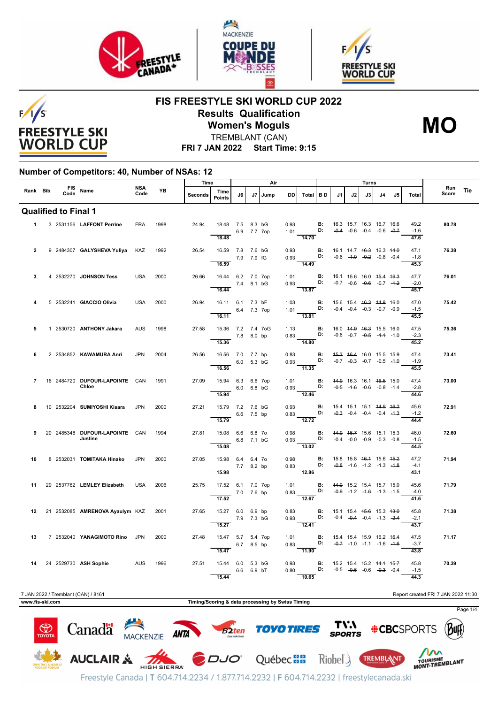





**MO**

**FIS FREESTYLE SKI WORLD CUP 2022 Results Qualification**



**Women's Moguls** TREMBLANT (CAN)

**FRI 7 JAN 2022 Start Time: 9:15**

### **Number of Competitors: 40, Number of NSAs: 12**

|                 |  |                                           | <b>NSA</b> |      | Time                                             |                                                        |             |    | Air    |                |                                                                                                          | Turns |    |      |    |                                                                                      |     |                        |                                     |     |
|-----------------|--|-------------------------------------------|------------|------|--------------------------------------------------|--------------------------------------------------------|-------------|----|--------|----------------|----------------------------------------------------------------------------------------------------------|-------|----|------|----|--------------------------------------------------------------------------------------|-----|------------------------|-------------------------------------|-----|
| Rank Bib        |  | FIS Name                                  | Code       | YB   | Seconds                                          | Time<br><b>Points</b>                                  | 16.         | J7 | l Jump | <b>DD</b>      | Total BD                                                                                                 |       | J1 | J2 I | J3 | 14.                                                                                  | .15 | Total                  | Run<br>Score                        | Tie |
|                 |  | <b>Qualified to Final 1</b>               |            |      |                                                  |                                                        |             |    |        |                |                                                                                                          |       |    |      |    |                                                                                      |     |                        |                                     |     |
| $\mathbf 1$     |  | 3 2531156 LAFFONT Perrine                 | <b>FRA</b> | 1998 | 24.94                                            | 18.48 7.5 8.3 bG<br>18.48                              | 6.9 7.7 7op |    |        |                | 0.93 <b>B</b> : 16.3 45.7 16.3 46.7 16.6<br>1.01 <b>D:</b> -0.4 -0.6 -0.4 -0.6 -0.7<br>14.70             |       |    |      |    |                                                                                      |     | 49.2<br>$-1.6$<br>47.6 | 80.78                               |     |
| $\overline{2}$  |  | 9 2484307 GALYSHEVA Yuliya KAZ            |            | 1992 | 26.54                                            | 16.59 7.8 7.6 bG<br>16.59                              | 7.9 7.9 fG  |    |        | 0.93<br>1995 F | $0.93$ D:<br>14.49                                                                                       | B:    |    |      |    | 16.1 14.7 <del>16.3</del> 16.3 <del>14.0</del><br>$-0.6$ $-4.0$ $-0.2$ $-0.8$ $-0.4$ |     | 47.1<br>$-1.8$<br>45.3 | 76.38                               |     |
| 3               |  | 4 2532270 JOHNSON Tess                    | <b>USA</b> | 2000 | 26.66                                            | 16.44 6.2 7.0 7op<br>16.44                             | 7.4 8.1 bG  |    |        |                | 1.01 <b>B:</b><br>0.93 <b>D:</b><br>$\overline{13.87}$                                                   |       |    |      |    | 16.1 15.6 16.0 <del>15.4 16.3</del><br>$-0.7$ $-0.6$ $-0.6$ $-0.7$ $-4.2$            |     | 47.7<br>$-2.0$<br>45.7 | 76.01                               |     |
|                 |  | 5 2532241 GIACCIO Olivia                  | <b>USA</b> | 2000 | 26.94                                            | 16.11 6.1 7.3 bF<br>6.4 7.3 7op<br>16.11               |             |    |        |                | 1.03 <b>B:</b> 15.6 15.4 46.3 44.8 16.0<br>1.01 <b>D:</b> -0.4 -0.4 -0.3 -0.7 -0.9<br>13.81              |       |    |      |    |                                                                                      |     | 47.0<br>$-1.5$<br>45.5 | 75.42                               |     |
| 5               |  | 1 2530720 ANTHONY Jakara                  | <b>AUS</b> | 1998 | 27.58                                            | 15.36 7.2 7.4 7oG<br>15.36                             | 7.8 8.0 bp  |    |        | 1.13           | $0.83$ D:<br>14.80                                                                                       |       |    |      |    | <b>B:</b> 16.0 44.9 46.3 15.5 16.0<br>$-0.6$ $-0.7$ $-0.5$ $-4.4$ $-1.0$             |     | 47.5<br>$-2.3$<br>45.2 | 75.36                               |     |
| 6               |  | 2 2534852 KAWAMURA Anri                   | <b>JPN</b> | 2004 | 26.56                                            | 16.56 7.0 7.7 bp<br>16.56                              | 6.0 5.3 bG  |    |        |                | 0.83 <b>B:</b><br>0.93 <b>D:</b><br>11.35                                                                |       |    |      |    | 45.3 46.4 16.0 15.5 15.9<br>$-0.7$ $-0.3$ $-0.7$ $-0.5$ $-4.0$                       |     | 47.4<br>$-1.9$<br>45.5 | 73.41                               |     |
| 7               |  | 16 2484720 DUFOUR-LAPOINTE CAN<br>Chloe   |            | 1991 | 27.09                                            | 15.94 6.3 6.6 7op<br>$6.0\quad 6.8\text{ bG}$<br>15.94 |             |    |        | 1.01           | 0.93 <b>D:</b> $-0.5$ $-1.6$ $-0.6$ $-0.8$ $-1.4$<br>$\overline{12.46}$                                  |       |    |      |    | <b>B:</b> 44.9 16.3 16.1 46.5 15.0                                                   |     | 47.4<br>$-2.8$<br>44.6 | 73.00                               |     |
| 8               |  | 10 2532204 SUMIYOSHI Kisara               | <b>JPN</b> | 2000 | 27.21                                            | 15.79 7.2 7.6 bG<br>15.79                              | 6.6 7.5 bp  |    |        |                | 0.93<br>B: 15.4 15.1 15.1 44.9 46.2<br>0.83<br>D: $-0.3$ -0.4 -0.4 -0.4 $-4.3$<br>12.72                  |       |    |      |    |                                                                                      |     | 45.6<br>$-1.2$<br>44.4 | 72.91                               |     |
| 9               |  | 20 2485348 DUFOUR-LAPOINTE CAN<br>Justine |            | 1994 | 27.81                                            | 15.08 6.6 6.8 7o<br>15.08                              | 6.8 7.1 bG  |    |        |                | 0.98 <b>B:</b> 44.9 46.7 15.6 15.1 15.3<br>$0.93$ D:<br>13.02                                            |       |    |      |    | $-0.4$ $-0.0$ $-0.9$ $-0.3$ $-0.8$                                                   |     | 46.0<br>$-1.5$<br>44.5 | 72.60                               |     |
| 10              |  | 8 2532031 TOMITAKA Hinako                 | <b>JPN</b> | 2000 | 27.05                                            | 15.98 6.4 6.4 7o<br>$7.7$ 8.2 bp<br>15.98              |             |    |        | 0.98           | $0.83$ D:<br>$-12.86$                                                                                    | B:    |    |      |    | 15.8 15.8 46.4 15.6 45.2<br>$-0.8$ $-1.6$ $-1.2$ $-1.3$ $-4.8$                       |     | 47.2<br>$-4.1$<br>43.1 | 71.94                               |     |
| 11              |  | 29 2537762 LEMLEY Elizabeth               | <b>USA</b> | 2006 | 25.75                                            | 17.52 6.1 7.0 7op<br>7.0 7.6 bp<br>$\overline{17.52}$  |             |    |        |                | 1.01 <b>B</b> : 44.0 15.2 15.4 4 <del>5.7</del> 15.0<br>0.83 <b>D:</b> -0.9 -1.2 -4.6 -1.3 -1.5<br>12.67 |       |    |      |    |                                                                                      |     | 45.6<br>$-4.0$<br>41.6 | 71.79                               |     |
| 12              |  | 21 2532085 AMRENOVA Ayaulym KAZ           |            | 2001 | 27.65                                            | 15.27 6.0 6.9 bp<br>15.27                              | 7.9 7.3 bG  |    |        |                | 0.83 <b>B:</b><br>0.93 <b>D:</b><br>$\overline{12.41}$                                                   |       |    |      |    | 15.1 15.4 <del>15.6</del> 15.3 <del>13.0</del><br>$-0.4$ $-0.4$ $-0.4$ $-1.3$ $-2.4$ |     | 45.8<br>$-2.1$<br>43.7 | 71.38                               |     |
| 13              |  | 7 2532040 YANAGIMOTO Rino JPN             |            | 2000 | 27.48                                            | 15.47 5.7 5.4 7op<br>15.47                             | 6.7 8.5 bp  |    |        |                | 1.01 <b>B:</b> $45.4$ 15.4 15.9 16.2 16.4 0.83 <b>D:</b> $-0.7$ -1.0 -1.1 -1.6 -1.6 1.1                  |       |    |      |    |                                                                                      |     | 47.5<br>$-3.7$<br>43.8 | 71.17                               |     |
| 14              |  | 24 2529730 ASH Sophie AUS                 |            | 1996 | 27.51                                            | 15.44 6.0 5.3 bG<br>6.6 6.9 bT<br>15.44                |             |    |        | 0.93           | $0.80$ D: $-0.5$ $-0.6$ $-0.6$ $-0.3$ $-0.4$<br>10.65                                                    |       |    |      |    | <b>B:</b> 15.2 15.4 15.2 44.4 45.7                                                   |     | 45.8<br>$-1.5$<br>44.3 | 70.39                               |     |
| www.fis-ski.com |  | 7 JAN 2022 / Tremblant (CAN) / 8161       |            |      | Timing/Scoring & data processing by Swiss Timing |                                                        |             |    |        |                |                                                                                                          |       |    |      |    |                                                                                      |     |                        | Report created FRI 7 JAN 2022 11:30 |     |



Freestyle Canada | T 604.714.2234 / 1.877.714.2232 | F 604.714.2232 | freestylecanada.ski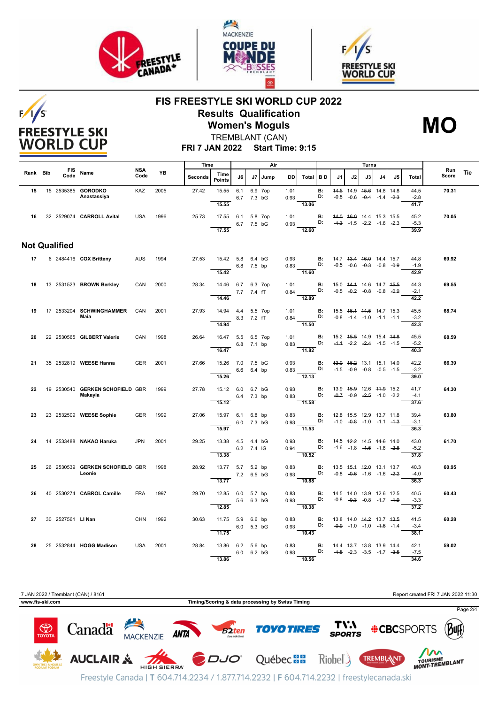

 $F/1/S$ 

**FREESTYLE SKI WORLD CUP** 





# **FIS FREESTYLE SKI WORLD CUP 2022 Results Qualification Women's Moguls**



TREMBLANT (CAN)

**FRI 7 JAN 2022 Start Time: 9:15**

|          |  |                      |                                      |                    |      | Time    |                            | Air        |            |         |              |                                                                                                                                                                                                                                      |                 |                                    | Turns                                                          |      |    |    |                        |              |     |
|----------|--|----------------------|--------------------------------------|--------------------|------|---------|----------------------------|------------|------------|---------|--------------|--------------------------------------------------------------------------------------------------------------------------------------------------------------------------------------------------------------------------------------|-----------------|------------------------------------|----------------------------------------------------------------|------|----|----|------------------------|--------------|-----|
| Rank Bib |  | Code                 | FIS Name                             | <b>NSA</b><br>Code | YB   | Seconds | Time<br><b>Points</b>      | J6         | J7         | Jump    | DD.          | Total BD                                                                                                                                                                                                                             |                 | J1                                 | J2                                                             | J3 I | J4 | J5 | <b>Total</b>           | Run<br>Score | Tie |
|          |  |                      | 15 15 2535385 GORODKO<br>Anastassiya | <b>KAZ</b>         | 2005 | 27.42   | 15.55                      | 6.1        | 6.7 7.3 bG | 6.9 7op | 1.01<br>0.93 |                                                                                                                                                                                                                                      | <b>B:</b><br>D: |                                    | 44.5 14.9 45.6 14.8 14.8<br>$-0.8$ $-0.6$ $-0.4$ $-1.4$ $-2.3$ |      |    |    | 44.5<br>$-2.8$         | 70.31        |     |
|          |  |                      | 16 32 2529074 CARROLL Avital         | <b>USA</b>         | 1996 | 25.73   | 15.55<br>17.55 6.1 5.8 7op |            | 6.7 7.5 bG |         | 1.01<br>0.93 | 13.06<br>D:                                                                                                                                                                                                                          | <b>B:</b>       | 44.0 46.0 14.4 15.3 15.5           | $-4.3$ $-1.5$ $-2.2$ $-1.6$ $-2.3$                             |      |    |    | 41.7<br>45.2<br>$-5.3$ | 70.05        |     |
|          |  |                      |                                      |                    |      |         | 17.55                      |            |            |         |              | 12.60                                                                                                                                                                                                                                |                 |                                    |                                                                |      |    |    | 39.9                   |              |     |
|          |  | <b>Not Qualified</b> |                                      |                    |      |         |                            |            |            |         |              |                                                                                                                                                                                                                                      |                 |                                    |                                                                |      |    |    |                        |              |     |
| 17       |  |                      | 6 2484416 <b>COX Britteny</b>        | AUS                | 1994 | 27.53   | 15.42 5.8 6.4 bG           |            | 6.8 7.5 bp |         |              | 0.93 <b>B</b> : 14.7 13.4 16.0 14.4 15.7<br>0.83 <b>D:</b> -0.5 -0.6 -0.3 0.0 0.0                                                                                                                                                    |                 |                                    |                                                                |      |    |    | 44.8<br>$-1.9$         | 69.92        |     |
|          |  |                      |                                      |                    |      |         | 15.42                      |            |            |         |              | 11.60                                                                                                                                                                                                                                |                 |                                    |                                                                |      |    |    | 42.9                   |              |     |
| 18       |  |                      | 13 2531523 BROWN Berkley             | CAN                | 2000 | 28.34   | 14.46 6.7 6.3 7op          |            |            |         | 1.01         | estados de la provincia de la provincia de la provincia de la provincia de la provincia de la provincia de la<br>Entre de la provincia de la provincia de la provincia de la provincia de la provincia de la provincia de la pr<br>E | <b>B:</b>       |                                    | 15.0 44.4 14.6 14.7 45.5<br>$-0.5$ $-0.2$ $-0.8$ $-0.8$ $-0.9$ |      |    |    | 44.3<br>$-2.1$         | 69.55        |     |
|          |  |                      |                                      |                    |      |         | 14.46                      |            | 7.7 7.4 fT |         | 0.84         | $\frac{1}{12.89}$                                                                                                                                                                                                                    |                 |                                    |                                                                |      |    |    | 42.2                   |              |     |
| 19       |  |                      | 17  2533204  SCHWINGHAMMER<br>Maia   | CAN                | 2001 | 27.93   | 14.94  4.4  5.5  7op       |            |            |         | 1.01         |                                                                                                                                                                                                                                      |                 | <b>B:</b> 15.5 46.4 44.5 14.7 15.3 |                                                                |      |    |    | 45.5                   | 68.74        |     |
|          |  |                      |                                      |                    |      |         | 14.94                      | 8.3 7.2 fT |            |         |              | 0.84 D: $-0.8$ -1.4 -1.0 -1.1 -1.1<br>$\frac{1}{11.50}$                                                                                                                                                                              |                 |                                    |                                                                |      |    |    | $-3.2$<br>42.3         |              |     |
| 20       |  |                      | 22 2530565 GILBERT Valerie           | CAN                | 1998 | 26.64   | 16.47 5.5 6.5 7op          |            |            |         | 1.01         |                                                                                                                                                                                                                                      | B:              |                                    | 15.2 45.5 14.9 15.4 44.8                                       |      |    |    | 45.5                   | 68.59        |     |
|          |  |                      |                                      |                    |      |         | 16.47                      |            | 6.8 7.1 bp |         |              | $0.83$ D:<br>11.82                                                                                                                                                                                                                   |                 |                                    | $-4.4$ $-2.2$ $-2.4$ $-1.5$ $-1.5$                             |      |    |    | $-5.2$<br>40.3         |              |     |
| 21       |  |                      | 35 2532819 WEESE Hanna               | GER                | 2001 | 27.66   | 15.26 7.0 7.5 bG           |            |            |         |              | 0.93 <b>B:</b> $43.0$ $46.2$ 13.1 15.1 14.0<br>0.83 <b>D:</b> $4.5$ -0.9 -0.8 -0.5 -1.5                                                                                                                                              |                 |                                    |                                                                |      |    |    | 42.2                   | 66.39        |     |
|          |  |                      |                                      |                    |      |         | 6.6 6.4 bp<br>15.26        |            |            |         |              | 12.13                                                                                                                                                                                                                                |                 |                                    |                                                                |      |    |    | $-3.2$<br>39.0         |              |     |
| 22       |  |                      | 19 2530540 GERKEN SCHOFIELD GBR      |                    | 1999 | 27.78   | 15.12 6.0 6.7 bG           |            |            |         | 0.93         |                                                                                                                                                                                                                                      | <b>B:</b>       |                                    | 13.9 45.9 12.6 44.9 15.2                                       |      |    |    | 41.7                   | 64.30        |     |
|          |  |                      | Makayla                              |                    |      |         | 15.12                      | 6.4 7.3 bp |            |         | 0.83         | D:<br>$-11.58$                                                                                                                                                                                                                       |                 |                                    | $-0.7$ $-0.9$ $-2.5$ $-1.0$ $-2.2$                             |      |    |    | $-4.1$<br>37.6         |              |     |
| 23       |  |                      | 23 2532509 WEESE Sophie              | <b>GER</b>         | 1999 | 27.06   | 15.97 6.1 6.8 bp           |            |            |         | 0.83         |                                                                                                                                                                                                                                      | B:              |                                    | 12.8 45.5 12.9 13.7 44.8                                       |      |    |    | 39.4                   | 63.80        |     |
|          |  |                      |                                      |                    |      |         | 15.97                      | 6.0 7.3 bG |            |         |              | $0.93$ D: $-1.0$ $-0.8$ $-1.0$ $-1.1$ $-1.3$<br>$-11.53$                                                                                                                                                                             |                 |                                    |                                                                |      |    |    | $-3.1$<br>36.3         |              |     |
| 24       |  |                      | 14 2533488 NAKAO Haruka              | <b>JPN</b>         | 2001 | 29.25   | 13.38  4.5  4.4  bG        |            |            |         | 0.93         |                                                                                                                                                                                                                                      | B:              |                                    | 14.5 42.2 14.5 44.6 14.0                                       |      |    |    | 43.0                   | 61.70        |     |
|          |  |                      |                                      |                    |      |         | 13.38                      | 6.2 7.4 IG |            |         | 0.94         | 10.52                                                                                                                                                                                                                                | D:              |                                    | $-1.6$ $-1.8$ $-4.5$ $-1.8$ $-2.8$                             |      |    |    | $-5.2$<br>37.8         |              |     |
| 25       |  |                      | 26 2530539 GERKEN SCHOFIELD GBR      |                    | 1998 | 28.92   | 13.77 5.7 5.2 bp           |            |            |         |              | $0.83$ B:                                                                                                                                                                                                                            |                 |                                    | 13.5 45.4 42.0 13.1 13.7                                       |      |    |    | 40.3                   | 60.95        |     |
|          |  |                      | Leonie                               |                    |      |         | 13.77                      | 7.2 6.5 bG |            |         |              | 0.93<br>$-10.88$                                                                                                                                                                                                                     | D:              |                                    | $-0.8$ $-0.6$ $-1.6$ $-1.6$ $-2.2$                             |      |    |    | $-4.0$<br>36.3         |              |     |
| 26       |  |                      | 40 2530274 CABROL Camille            | <b>FRA</b>         | 1997 | 29.70   | 12.85 6.0                  |            | 5.7 bp     |         | 0.83         |                                                                                                                                                                                                                                      | <b>B:</b>       |                                    | 44.5 14.0 13.9 12.6 42.5                                       |      |    |    | 40.5                   | 60.43        |     |
|          |  |                      |                                      |                    |      |         | 12.85                      |            | 5.6 6.3 bG |         | 0.93         | D:<br>10.38                                                                                                                                                                                                                          |                 |                                    | $-0.8$ $-0.3$ $-0.8$ $-1.7$ $-4.9$                             |      |    |    | $-3.3$<br>37.2         |              |     |
| 27       |  | 30 2527561 LI Nan    |                                      | CHN                | 1992 | 30.63   | 11.75 5.9 6.6 bp           |            |            |         | 0.83         |                                                                                                                                                                                                                                      | B:              |                                    | 13.8 14.0 44.2 13.7 43.5                                       |      |    |    | 41.5                   | 60.28        |     |
|          |  |                      |                                      |                    |      |         | 11.75                      |            | 6.0 5.3 bG |         |              | $0.93$ D:<br>10.43                                                                                                                                                                                                                   |                 |                                    | $-0.9$ $-1.0$ $-1.0$ $-4.6$ $-1.4$                             |      |    |    | $-3.4$<br>38.1         |              |     |
| 28       |  |                      | 25 2532844 HOGG Madison              | <b>USA</b>         | 2001 | 28.84   | 13.86 6.2 5.6 bp           |            |            |         | 0.83         |                                                                                                                                                                                                                                      | B:              |                                    | 14.4 43.7 13.8 13.9 44.4                                       |      |    |    | 42.1                   | 59.02        |     |
|          |  |                      |                                      |                    |      |         |                            |            | 6.0 6.2 bG |         | 0.93         | <b>D:</b> $-4.5$ $-2.3$ $-3.5$ $-1.7$ $-3.5$                                                                                                                                                                                         |                 |                                    |                                                                |      |    |    | $-7.5$                 |              |     |
|          |  |                      |                                      |                    |      |         | 13.86                      |            |            |         |              | 10.56                                                                                                                                                                                                                                |                 |                                    |                                                                |      |    |    | 34.6                   |              |     |

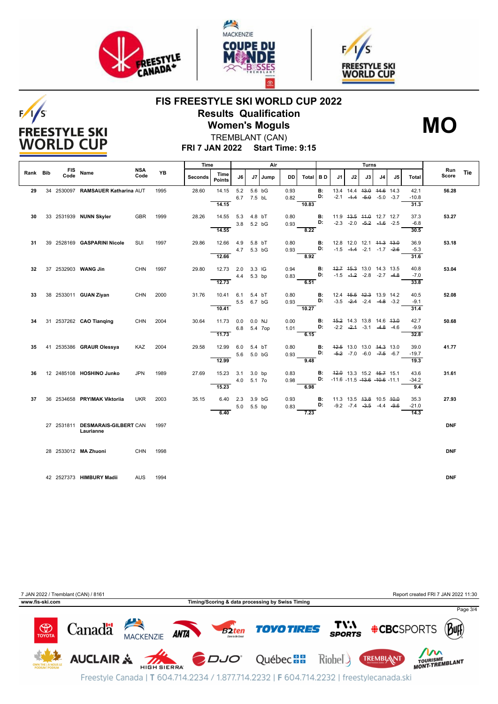

 $F/I/S$ 

**FREESTYLE SKI WORLD CUP** 





# **FIS FREESTYLE SKI WORLD CUP 2022 Results Qualification Women's Moguls**



TREMBLANT (CAN)

### **FRI 7 JAN 2022 Start Time: 9:15**

|          |                    |                                               |                    | YB   | Time    |                       | Air               |                      |           |              | Turns    |                 |    |    |    |                                                                            |    |                         |              |     |
|----------|--------------------|-----------------------------------------------|--------------------|------|---------|-----------------------|-------------------|----------------------|-----------|--------------|----------|-----------------|----|----|----|----------------------------------------------------------------------------|----|-------------------------|--------------|-----|
| Rank Bib | <b>FIS</b><br>Code | Name                                          | <b>NSA</b><br>Code |      | Seconds | Time<br><b>Points</b> | J6                |                      | J7   Jump | DD           | Total BD |                 | J1 | J2 | J3 | J4                                                                         | J5 | Total                   | Run<br>Score | Tie |
| 29       |                    | 34 2530097 RAMSAUER Katharina AUT             |                    | 1995 | 28.60   | 14.15<br>14.15        | 5.2               | 5.6 bG<br>6.7 7.5 bL |           | 0.93<br>0.82 | 10.83    | B:<br>D:        |    |    |    | 13.4 14.4 <del>13.0</del> 14.6 14.3<br>$-2.1$ $-4.4$ $-5.0$ $-5.0$ $-3.7$  |    | 42.1<br>$-10.8$<br>31.3 | 56.28        |     |
| 30       |                    | 33 2531939 NUNN Skyler                        | <b>GBR</b>         | 1999 | 28.26   | 14.55<br>14.55        | 5.3<br>3.8        | 4.8 bT<br>5.2 bG     |           | 0.80<br>0.93 | 8.22     | В:<br>D:        |    |    |    | 11.9    43.5    44.0    12.7    12.7<br>$-2.3$ $-2.0$ $-5.2$ $-4.6$ $-2.5$ |    | 37.3<br>$-6.8$<br>30.5  | 53.27        |     |
| 31       |                    | 39 2528169 GASPARINI Nicole                   | SUI                | 1997 | 29.86   | 12.66<br>12.66        | 4.9<br>4.7 5.3 bG | 5.8 bT               |           | 0.80<br>0.93 | 8.92     | В:<br>D:        |    |    |    | 12.8 12.0 12.1 <del>11.3 13.0</del><br>$-1.5$ $-4.4$ $-2.1$ $-1.7$ $-2.6$  |    | 36.9<br>$-5.3$<br>31.6  | 53.18        |     |
| 32       |                    | 37 2532903 WANG Jin                           | <b>CHN</b>         | 1997 | 29.80   | 12.73<br>12.73        | 2.0<br>4.4        | 3.3 IG<br>5.3 bp     |           | 0.94<br>0.83 | 6.51     | <b>B:</b><br>D: |    |    |    | 42.7 45.3 13.0 14.3 13.5<br>$-1.5$ $-4.2$ $-2.8$ $-2.7$ $-4.8$             |    | 40.8<br>$-7.0$          | 53.04        |     |
| 33       |                    | 38 2533011 GUAN Ziyan                         | <b>CHN</b>         | 2000 | 31.76   | 10.41                 | 6.1               | 5.4 bT<br>5.5 6.7 bG |           | 0.80<br>0.93 |          | В:<br>D:        |    |    |    | 12.4 45.5 42.3 13.9 14.2<br>$-3.5$ $-2.4$ $-2.4$ $-4.8$ $-3.2$             |    | 33.8<br>40.5<br>$-9.1$  | 52.08        |     |
| 34       |                    | 31 2537262 CAO Tianqing                       | <b>CHN</b>         | 2004 | 30.64   | 10.41<br>11.73        | 0.0<br>6.8        | $0.0$ NJ<br>5.4 7op  |           | 0.00<br>1.01 | 10.27    | <b>B:</b><br>D: |    |    |    | 45.2 14.3 13.8 14.6 43.0<br>$-2.2$ $-2.4$ $-3.1$ $-4.8$ $-4.6$             |    | 31.4<br>42.7<br>$-9.9$  | 50.68        |     |
| 35       |                    | 41 2535386 GRAUR Olessya                      | <b>KAZ</b>         | 2004 | 29.58   | 11.73<br>12.99        | 6.0<br>5.6        | 5.4 bT<br>5.0 bG     |           | 0.80<br>0.93 | 6.15     | <b>B:</b><br>D: |    |    |    | 42.5 13.0 13.0 44.3 13.0<br>$-5.2$ -7.0 -6.0 -7.5 -6.7                     |    | 32.8<br>39.0<br>$-19.7$ | 41.77        |     |
| 36       |                    | 12 2485108 HOSHINO Junko                      | <b>JPN</b>         | 1989 | 27.69   | 12.99<br>15.23        | 3.1<br>4.0        | $3.0$ bp<br>5.1 7o   |           | 0.83<br>0.98 | 9.48     | В:              |    |    |    | 42.0 13.3 15.2 45.7 15.1<br>D: $-11.6 - 11.5 - 13.6 - 10.6 - 11.1$         |    | 19.3<br>43.6<br>$-34.2$ | 31.61        |     |
| 37       |                    | 36 2534658 PRYIMAK Viktoriia                  | <b>UKR</b>         | 2003 | 35.15   | 15.23<br>6.40         | 2.3<br>5.0        | 3.9 bG<br>5.5 bp     |           | 0.93<br>0.83 | 6.98     | <b>B:</b><br>D: |    |    |    | 11.3 13.5 <del>13.8</del> 10.5 40.0<br>$-9.2$ $-7.4$ $-3.5$ $-4.4$ $-9.6$  |    | 9.4<br>35.3<br>$-21.0$  | 27.93        |     |
|          |                    | 27 2531811 DESMARAIS-GILBERT CAN<br>Laurianne |                    | 1997 |         | 6.40                  |                   |                      |           |              | 7.23     |                 |    |    |    |                                                                            |    | 14.3                    | <b>DNF</b>   |     |
|          |                    | 28 2533012 MA Zhuoni                          | CHN                | 1998 |         |                       |                   |                      |           |              |          |                 |    |    |    |                                                                            |    |                         | <b>DNF</b>   |     |
|          |                    | 42 2527373 HIMBURY Madii                      | <b>AUS</b>         | 1994 |         |                       |                   |                      |           |              |          |                 |    |    |    |                                                                            |    |                         | <b>DNF</b>   |     |